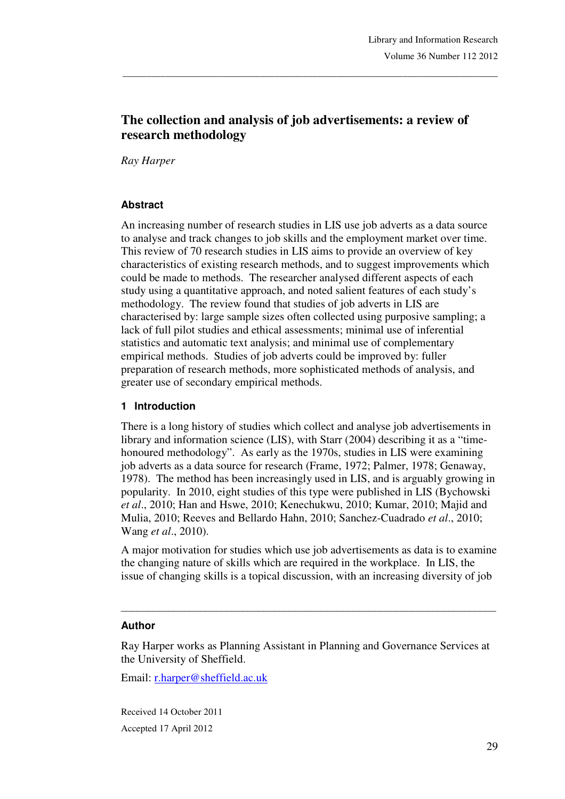# **The collection and analysis of job advertisements: a review of research methodology**

\_\_\_\_\_\_\_\_\_\_\_\_\_\_\_\_\_\_\_\_\_\_\_\_\_\_\_\_\_\_\_\_\_\_\_\_\_\_\_\_\_\_\_\_\_\_\_\_\_\_\_\_\_\_\_\_\_\_\_\_\_\_\_\_\_\_\_\_\_\_\_\_\_\_\_\_\_\_\_

*Ray Harper*

#### **Abstract**

An increasing number of research studies in LIS use job adverts as a data source to analyse and track changes to job skills and the employment market over time. This review of 70 research studies in LIS aims to provide an overview of key characteristics of existing research methods, and to suggest improvements which could be made to methods. The researcher analysed different aspects of each study using a quantitative approach, and noted salient features of each study's methodology. The review found that studies of job adverts in LIS are characterised by: large sample sizes often collected using purposive sampling; a lack of full pilot studies and ethical assessments; minimal use of inferential statistics and automatic text analysis; and minimal use of complementary empirical methods. Studies of job adverts could be improved by: fuller preparation of research methods, more sophisticated methods of analysis, and greater use of secondary empirical methods.

#### **1 Introduction**

There is a long history of studies which collect and analyse job advertisements in library and information science (LIS), with Starr (2004) describing it as a "timehonoured methodology". As early as the 1970s, studies in LIS were examining job adverts as a data source for research (Frame, 1972; Palmer, 1978; Genaway, 1978). The method has been increasingly used in LIS, and is arguably growing in popularity. In 2010, eight studies of this type were published in LIS (Bychowski *et al*., 2010; Han and Hswe, 2010; Kenechukwu, 2010; Kumar, 2010; Majid and Mulia, 2010; Reeves and Bellardo Hahn, 2010; Sanchez-Cuadrado *et al*., 2010; Wang *et al*., 2010).

A major motivation for studies which use job advertisements as data is to examine the changing nature of skills which are required in the workplace. In LIS, the issue of changing skills is a topical discussion, with an increasing diversity of job

\_\_\_\_\_\_\_\_\_\_\_\_\_\_\_\_\_\_\_\_\_\_\_\_\_\_\_\_\_\_\_\_\_\_\_\_\_\_\_\_\_\_\_\_\_\_\_\_\_\_\_\_\_\_\_\_\_\_\_\_\_\_\_\_\_\_\_\_\_\_\_

#### **Author**

Ray Harper works as Planning Assistant in Planning and Governance Services at the University of Sheffield.

Email: r.harper@sheffield.ac.uk

Received 14 October 2011 Accepted 17 April 2012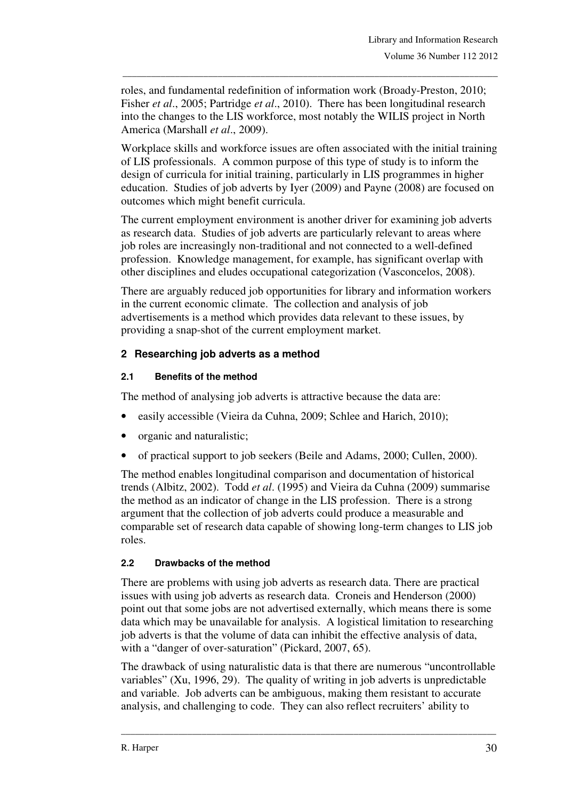roles, and fundamental redefinition of information work (Broady-Preston, 2010; Fisher *et al*., 2005; Partridge *et al*., 2010). There has been longitudinal research into the changes to the LIS workforce, most notably the WILIS project in North America (Marshall *et al*., 2009).

\_\_\_\_\_\_\_\_\_\_\_\_\_\_\_\_\_\_\_\_\_\_\_\_\_\_\_\_\_\_\_\_\_\_\_\_\_\_\_\_\_\_\_\_\_\_\_\_\_\_\_\_\_\_\_\_\_\_\_\_\_\_\_\_\_\_\_\_\_\_\_\_\_\_\_\_\_\_\_

Workplace skills and workforce issues are often associated with the initial training of LIS professionals. A common purpose of this type of study is to inform the design of curricula for initial training, particularly in LIS programmes in higher education. Studies of job adverts by Iyer (2009) and Payne (2008) are focused on outcomes which might benefit curricula.

The current employment environment is another driver for examining job adverts as research data. Studies of job adverts are particularly relevant to areas where job roles are increasingly non-traditional and not connected to a well-defined profession. Knowledge management, for example, has significant overlap with other disciplines and eludes occupational categorization (Vasconcelos, 2008).

There are arguably reduced job opportunities for library and information workers in the current economic climate. The collection and analysis of job advertisements is a method which provides data relevant to these issues, by providing a snap-shot of the current employment market.

## **2 Researching job adverts as a method**

#### **2.1 Benefits of the method**

The method of analysing job adverts is attractive because the data are:

- easily accessible (Vieira da Cuhna, 2009; Schlee and Harich, 2010);
- organic and naturalistic;
- of practical support to job seekers (Beile and Adams, 2000; Cullen, 2000).

The method enables longitudinal comparison and documentation of historical trends (Albitz, 2002). Todd *et al*. (1995) and Vieira da Cuhna (2009) summarise the method as an indicator of change in the LIS profession. There is a strong argument that the collection of job adverts could produce a measurable and comparable set of research data capable of showing long-term changes to LIS job roles.

## **2.2 Drawbacks of the method**

There are problems with using job adverts as research data. There are practical issues with using job adverts as research data. Croneis and Henderson (2000) point out that some jobs are not advertised externally, which means there is some data which may be unavailable for analysis. A logistical limitation to researching job adverts is that the volume of data can inhibit the effective analysis of data, with a "danger of over-saturation" (Pickard, 2007, 65).

The drawback of using naturalistic data is that there are numerous "uncontrollable variables" (Xu, 1996, 29). The quality of writing in job adverts is unpredictable and variable. Job adverts can be ambiguous, making them resistant to accurate analysis, and challenging to code. They can also reflect recruiters' ability to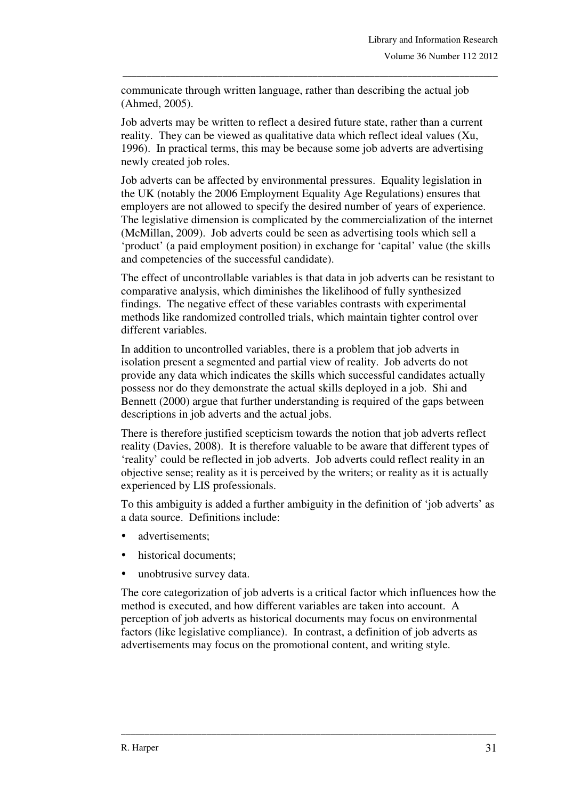communicate through written language, rather than describing the actual job (Ahmed, 2005).

\_\_\_\_\_\_\_\_\_\_\_\_\_\_\_\_\_\_\_\_\_\_\_\_\_\_\_\_\_\_\_\_\_\_\_\_\_\_\_\_\_\_\_\_\_\_\_\_\_\_\_\_\_\_\_\_\_\_\_\_\_\_\_\_\_\_\_\_\_\_\_\_\_\_\_\_\_\_\_

Job adverts may be written to reflect a desired future state, rather than a current reality. They can be viewed as qualitative data which reflect ideal values (Xu, 1996). In practical terms, this may be because some job adverts are advertising newly created job roles.

Job adverts can be affected by environmental pressures. Equality legislation in the UK (notably the 2006 Employment Equality Age Regulations) ensures that employers are not allowed to specify the desired number of years of experience. The legislative dimension is complicated by the commercialization of the internet (McMillan, 2009). Job adverts could be seen as advertising tools which sell a 'product' (a paid employment position) in exchange for 'capital' value (the skills and competencies of the successful candidate).

The effect of uncontrollable variables is that data in job adverts can be resistant to comparative analysis, which diminishes the likelihood of fully synthesized findings. The negative effect of these variables contrasts with experimental methods like randomized controlled trials, which maintain tighter control over different variables.

In addition to uncontrolled variables, there is a problem that job adverts in isolation present a segmented and partial view of reality. Job adverts do not provide any data which indicates the skills which successful candidates actually possess nor do they demonstrate the actual skills deployed in a job. Shi and Bennett (2000) argue that further understanding is required of the gaps between descriptions in job adverts and the actual jobs.

There is therefore justified scepticism towards the notion that job adverts reflect reality (Davies, 2008). It is therefore valuable to be aware that different types of 'reality' could be reflected in job adverts. Job adverts could reflect reality in an objective sense; reality as it is perceived by the writers; or reality as it is actually experienced by LIS professionals.

To this ambiguity is added a further ambiguity in the definition of 'job adverts' as a data source. Definitions include:

- advertisements;
- historical documents;
- unobtrusive survey data.

The core categorization of job adverts is a critical factor which influences how the method is executed, and how different variables are taken into account. A perception of job adverts as historical documents may focus on environmental factors (like legislative compliance). In contrast, a definition of job adverts as advertisements may focus on the promotional content, and writing style.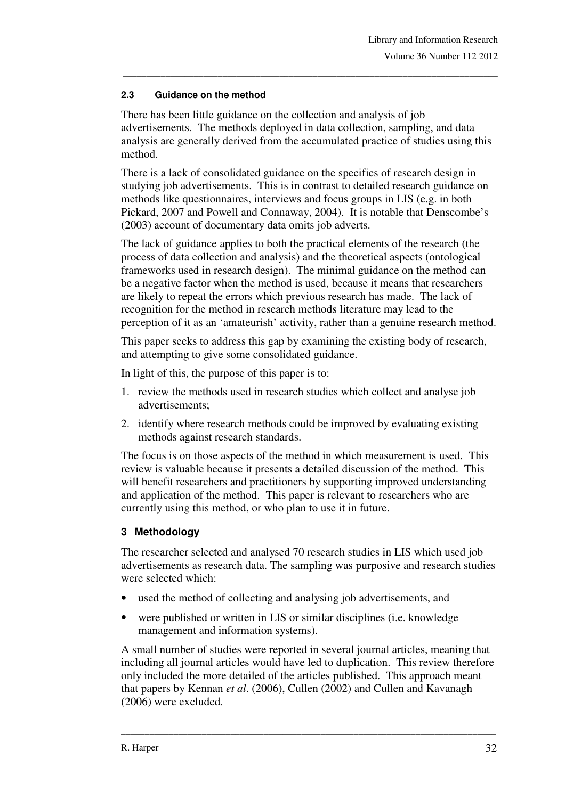#### **2.3 Guidance on the method**

There has been little guidance on the collection and analysis of job advertisements. The methods deployed in data collection, sampling, and data analysis are generally derived from the accumulated practice of studies using this method.

\_\_\_\_\_\_\_\_\_\_\_\_\_\_\_\_\_\_\_\_\_\_\_\_\_\_\_\_\_\_\_\_\_\_\_\_\_\_\_\_\_\_\_\_\_\_\_\_\_\_\_\_\_\_\_\_\_\_\_\_\_\_\_\_\_\_\_\_\_\_\_\_\_\_\_\_\_\_\_

There is a lack of consolidated guidance on the specifics of research design in studying job advertisements. This is in contrast to detailed research guidance on methods like questionnaires, interviews and focus groups in LIS (e.g. in both Pickard, 2007 and Powell and Connaway, 2004). It is notable that Denscombe's (2003) account of documentary data omits job adverts.

The lack of guidance applies to both the practical elements of the research (the process of data collection and analysis) and the theoretical aspects (ontological frameworks used in research design). The minimal guidance on the method can be a negative factor when the method is used, because it means that researchers are likely to repeat the errors which previous research has made. The lack of recognition for the method in research methods literature may lead to the perception of it as an 'amateurish' activity, rather than a genuine research method.

This paper seeks to address this gap by examining the existing body of research, and attempting to give some consolidated guidance.

In light of this, the purpose of this paper is to:

- 1. review the methods used in research studies which collect and analyse job advertisements;
- 2. identify where research methods could be improved by evaluating existing methods against research standards.

The focus is on those aspects of the method in which measurement is used. This review is valuable because it presents a detailed discussion of the method. This will benefit researchers and practitioners by supporting improved understanding and application of the method. This paper is relevant to researchers who are currently using this method, or who plan to use it in future.

#### **3 Methodology**

The researcher selected and analysed 70 research studies in LIS which used job advertisements as research data. The sampling was purposive and research studies were selected which:

- used the method of collecting and analysing job advertisements, and
- were published or written in LIS or similar disciplines (i.e. knowledge management and information systems).

A small number of studies were reported in several journal articles, meaning that including all journal articles would have led to duplication. This review therefore only included the more detailed of the articles published. This approach meant that papers by Kennan *et al*. (2006), Cullen (2002) and Cullen and Kavanagh (2006) were excluded.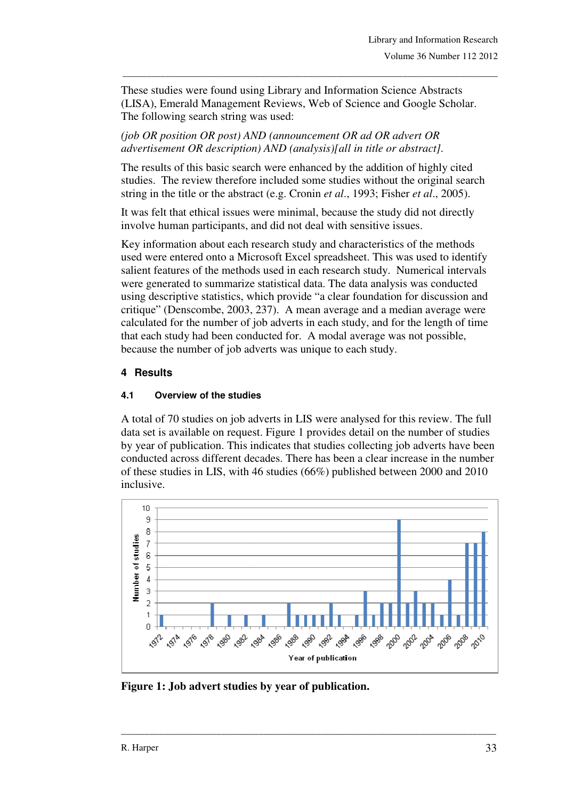These studies were found using Library and Information Science Abstracts (LISA), Emerald Management Reviews, Web of Science and Google Scholar. The following search string was used:

\_\_\_\_\_\_\_\_\_\_\_\_\_\_\_\_\_\_\_\_\_\_\_\_\_\_\_\_\_\_\_\_\_\_\_\_\_\_\_\_\_\_\_\_\_\_\_\_\_\_\_\_\_\_\_\_\_\_\_\_\_\_\_\_\_\_\_\_\_\_\_\_\_\_\_\_\_\_\_

*(job OR position OR post) AND (announcement OR ad OR advert OR advertisement OR description) AND (analysis)[all in title or abstract].* 

The results of this basic search were enhanced by the addition of highly cited studies. The review therefore included some studies without the original search string in the title or the abstract (e.g. Cronin *et al*., 1993; Fisher *et al*., 2005).

It was felt that ethical issues were minimal, because the study did not directly involve human participants, and did not deal with sensitive issues.

Key information about each research study and characteristics of the methods used were entered onto a Microsoft Excel spreadsheet. This was used to identify salient features of the methods used in each research study. Numerical intervals were generated to summarize statistical data. The data analysis was conducted using descriptive statistics, which provide "a clear foundation for discussion and critique" (Denscombe, 2003, 237). A mean average and a median average were calculated for the number of job adverts in each study, and for the length of time that each study had been conducted for. A modal average was not possible, because the number of job adverts was unique to each study.

## **4 Results**

#### **4.1 Overview of the studies**

A total of 70 studies on job adverts in LIS were analysed for this review. The full data set is available on request. Figure 1 provides detail on the number of studies by year of publication. This indicates that studies collecting job adverts have been conducted across different decades. There has been a clear increase in the number of these studies in LIS, with 46 studies (66%) published between 2000 and 2010 inclusive.



**Figure 1: Job advert studies by year of publication.**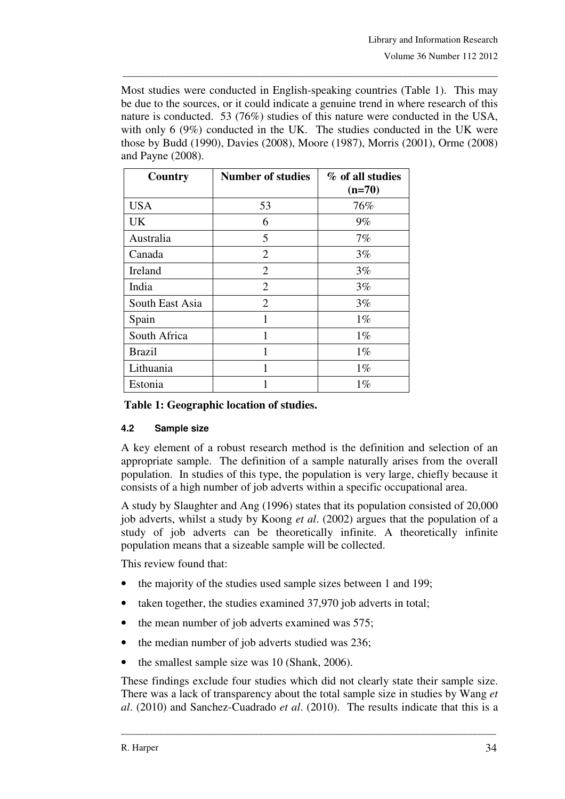Most studies were conducted in English-speaking countries (Table 1). This may be due to the sources, or it could indicate a genuine trend in where research of this nature is conducted. 53 (76%) studies of this nature were conducted in the USA, with only 6 (9%) conducted in the UK. The studies conducted in the UK were those by Budd (1990), Davies (2008), Moore (1987), Morris (2001), Orme (2008) and Payne (2008).

\_\_\_\_\_\_\_\_\_\_\_\_\_\_\_\_\_\_\_\_\_\_\_\_\_\_\_\_\_\_\_\_\_\_\_\_\_\_\_\_\_\_\_\_\_\_\_\_\_\_\_\_\_\_\_\_\_\_\_\_\_\_\_\_\_\_\_\_\_\_\_\_\_\_\_\_\_\_\_

| Country         | <b>Number of studies</b> | % of all studies<br>$(n=70)$ |
|-----------------|--------------------------|------------------------------|
| <b>USA</b>      | 53                       | 76%                          |
| UK              | 6                        | $9\%$                        |
| Australia       | 5                        | $7\%$                        |
| Canada          | $\overline{2}$           | 3%                           |
| Ireland         | $\overline{2}$           | 3%                           |
| India           | $\overline{2}$           | $3\%$                        |
| South East Asia | $\overline{2}$           | 3%                           |
| Spain           | 1                        | $1\%$                        |
| South Africa    |                          | $1\%$                        |
| <b>Brazil</b>   | 1                        | $1\%$                        |
| Lithuania       | 1                        | $1\%$                        |
| Estonia         |                          | $1\%$                        |

#### **Table 1: Geographic location of studies.**

#### **4.2 Sample size**

A key element of a robust research method is the definition and selection of an appropriate sample. The definition of a sample naturally arises from the overall population. In studies of this type, the population is very large, chiefly because it consists of a high number of job adverts within a specific occupational area.

A study by Slaughter and Ang (1996) states that its population consisted of 20,000 job adverts, whilst a study by Koong *et al*. (2002) argues that the population of a study of job adverts can be theoretically infinite. A theoretically infinite population means that a sizeable sample will be collected.

This review found that:

- the majority of the studies used sample sizes between 1 and 199;
- taken together, the studies examined 37,970 job adverts in total;
- the mean number of job adverts examined was 575;
- the median number of job adverts studied was 236;
- the smallest sample size was 10 (Shank, 2006).

These findings exclude four studies which did not clearly state their sample size. There was a lack of transparency about the total sample size in studies by Wang *et al*. (2010) and Sanchez-Cuadrado *et al*. (2010). The results indicate that this is a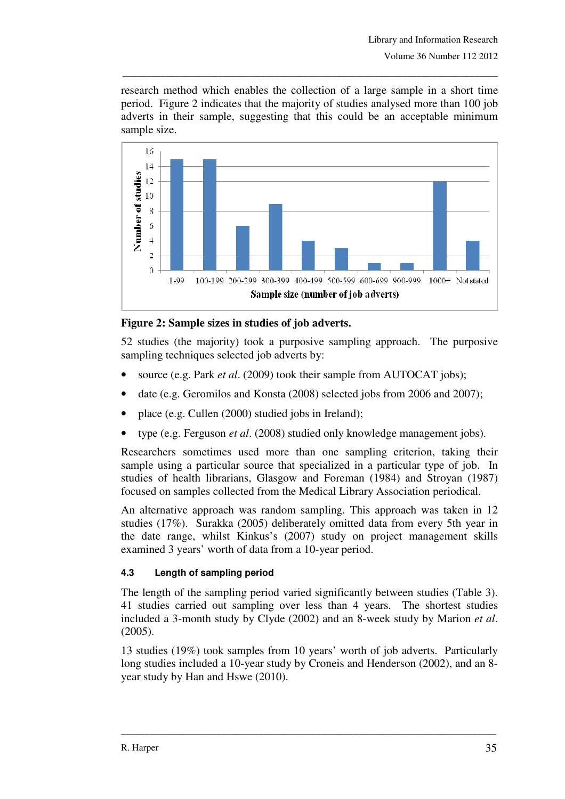research method which enables the collection of a large sample in a short time period. Figure 2 indicates that the majority of studies analysed more than 100 job adverts in their sample, suggesting that this could be an acceptable minimum sample size.

\_\_\_\_\_\_\_\_\_\_\_\_\_\_\_\_\_\_\_\_\_\_\_\_\_\_\_\_\_\_\_\_\_\_\_\_\_\_\_\_\_\_\_\_\_\_\_\_\_\_\_\_\_\_\_\_\_\_\_\_\_\_\_\_\_\_\_\_\_\_\_\_\_\_\_\_\_\_\_



### **Figure 2: Sample sizes in studies of job adverts.**

52 studies (the majority) took a purposive sampling approach. The purposive sampling techniques selected job adverts by:

- source (e.g. Park *et al*. (2009) took their sample from AUTOCAT jobs);
- date (e.g. Geromilos and Konsta (2008) selected jobs from 2006 and 2007);
- place (e.g. Cullen (2000) studied jobs in Ireland);
- type (e.g. Ferguson *et al*. (2008) studied only knowledge management jobs).

Researchers sometimes used more than one sampling criterion, taking their sample using a particular source that specialized in a particular type of job. In studies of health librarians, Glasgow and Foreman (1984) and Stroyan (1987) focused on samples collected from the Medical Library Association periodical.

An alternative approach was random sampling. This approach was taken in 12 studies (17%). Surakka (2005) deliberately omitted data from every 5th year in the date range, whilst Kinkus's (2007) study on project management skills examined 3 years' worth of data from a 10-year period.

#### **4.3 Length of sampling period**

The length of the sampling period varied significantly between studies (Table 3). 41 studies carried out sampling over less than 4 years. The shortest studies included a 3-month study by Clyde (2002) and an 8-week study by Marion *et al*. (2005).

13 studies (19%) took samples from 10 years' worth of job adverts. Particularly long studies included a 10-year study by Croneis and Henderson (2002), and an 8 year study by Han and Hswe (2010).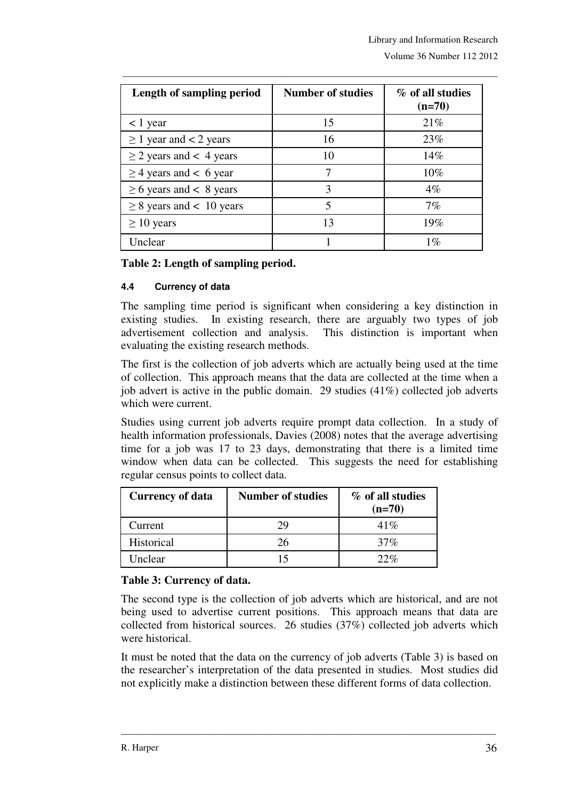| Length of sampling period     | <b>Number of studies</b> | % of all studies<br>$(n=70)$ |
|-------------------------------|--------------------------|------------------------------|
| $<$ 1 year                    | 15                       | 21%                          |
| $\geq$ 1 year and < 2 years   | 16                       | 23%                          |
| $\geq$ 2 years and < 4 years  | 10                       | 14%                          |
| $\geq$ 4 years and < 6 year   |                          | $10\%$                       |
| $\geq 6$ years and < 8 years  | 3                        | $4\%$                        |
| $\geq$ 8 years and < 10 years | 5                        | $7\%$                        |
| $\geq 10$ years               | 13                       | 19%                          |
| Unclear                       |                          | $1\%$                        |

\_\_\_\_\_\_\_\_\_\_\_\_\_\_\_\_\_\_\_\_\_\_\_\_\_\_\_\_\_\_\_\_\_\_\_\_\_\_\_\_\_\_\_\_\_\_\_\_\_\_\_\_\_\_\_\_\_\_\_\_\_\_\_\_\_\_\_\_\_\_\_\_\_\_\_\_\_\_\_

#### **Table 2: Length of sampling period.**

### **4.4 Currency of data**

The sampling time period is significant when considering a key distinction in existing studies. In existing research, there are arguably two types of job advertisement collection and analysis. This distinction is important when evaluating the existing research methods.

The first is the collection of job adverts which are actually being used at the time of collection. This approach means that the data are collected at the time when a job advert is active in the public domain. 29 studies (41%) collected job adverts which were current.

Studies using current job adverts require prompt data collection. In a study of health information professionals, Davies (2008) notes that the average advertising time for a job was 17 to 23 days, demonstrating that there is a limited time window when data can be collected. This suggests the need for establishing regular census points to collect data.

| <b>Currency of data</b> | Number of studies | % of all studies<br>$(n=70)$ |
|-------------------------|-------------------|------------------------------|
| Current                 | 29                | 41%                          |
| Historical              | 26                | 37%                          |
| Unclear                 | 15                | 22%                          |

## **Table 3: Currency of data.**

The second type is the collection of job adverts which are historical, and are not being used to advertise current positions. This approach means that data are collected from historical sources. 26 studies (37%) collected job adverts which were historical.

It must be noted that the data on the currency of job adverts (Table 3) is based on the researcher's interpretation of the data presented in studies. Most studies did not explicitly make a distinction between these different forms of data collection.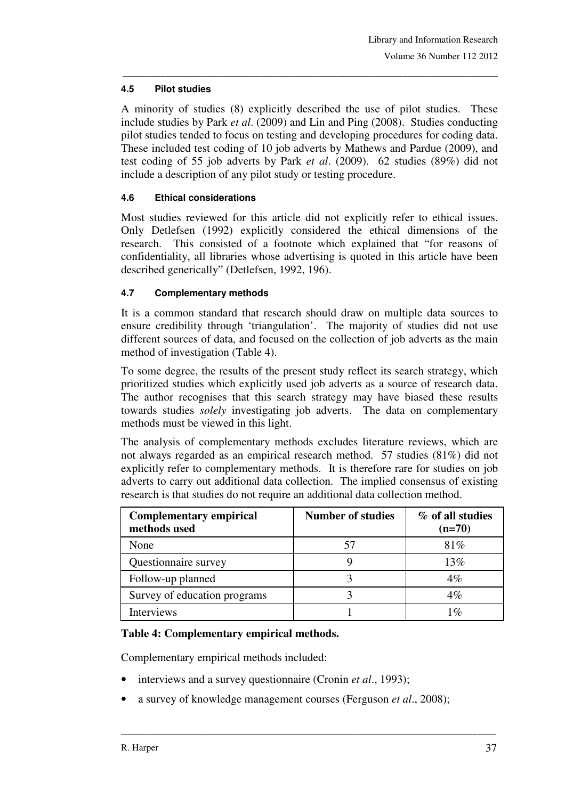#### **4.5 Pilot studies**

A minority of studies (8) explicitly described the use of pilot studies. These include studies by Park *et al*. (2009) and Lin and Ping (2008). Studies conducting pilot studies tended to focus on testing and developing procedures for coding data. These included test coding of 10 job adverts by Mathews and Pardue (2009), and test coding of 55 job adverts by Park *et al*. (2009). 62 studies (89%) did not include a description of any pilot study or testing procedure.

\_\_\_\_\_\_\_\_\_\_\_\_\_\_\_\_\_\_\_\_\_\_\_\_\_\_\_\_\_\_\_\_\_\_\_\_\_\_\_\_\_\_\_\_\_\_\_\_\_\_\_\_\_\_\_\_\_\_\_\_\_\_\_\_\_\_\_\_\_\_\_\_\_\_\_\_\_\_\_

#### **4.6 Ethical considerations**

Most studies reviewed for this article did not explicitly refer to ethical issues. Only Detlefsen (1992) explicitly considered the ethical dimensions of the research. This consisted of a footnote which explained that "for reasons of confidentiality, all libraries whose advertising is quoted in this article have been described generically" (Detlefsen, 1992, 196).

#### **4.7 Complementary methods**

It is a common standard that research should draw on multiple data sources to ensure credibility through 'triangulation'. The majority of studies did not use different sources of data, and focused on the collection of job adverts as the main method of investigation (Table 4).

To some degree, the results of the present study reflect its search strategy, which prioritized studies which explicitly used job adverts as a source of research data. The author recognises that this search strategy may have biased these results towards studies *solely* investigating job adverts. The data on complementary methods must be viewed in this light.

The analysis of complementary methods excludes literature reviews, which are not always regarded as an empirical research method. 57 studies (81%) did not explicitly refer to complementary methods. It is therefore rare for studies on job adverts to carry out additional data collection. The implied consensus of existing research is that studies do not require an additional data collection method.

| <b>Complementary empirical</b><br>methods used | <b>Number of studies</b> | % of all studies<br>$(n=70)$ |
|------------------------------------------------|--------------------------|------------------------------|
| None                                           | 57                       | 81\%                         |
| Questionnaire survey                           |                          | 13%                          |
| Follow-up planned                              |                          | $4\%$                        |
| Survey of education programs                   |                          | $4\%$                        |
| <b>Interviews</b>                              |                          | 1 $\%$                       |

#### **Table 4: Complementary empirical methods.**

Complementary empirical methods included:

- interviews and a survey questionnaire (Cronin *et al*., 1993);
- a survey of knowledge management courses (Ferguson *et al*., 2008);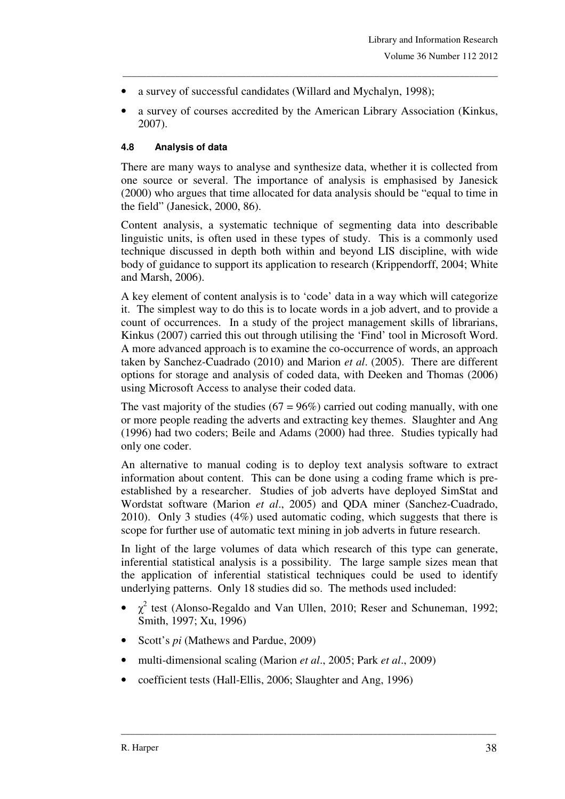- a survey of successful candidates (Willard and Mychalyn, 1998);
- a survey of courses accredited by the American Library Association (Kinkus, 2007).

\_\_\_\_\_\_\_\_\_\_\_\_\_\_\_\_\_\_\_\_\_\_\_\_\_\_\_\_\_\_\_\_\_\_\_\_\_\_\_\_\_\_\_\_\_\_\_\_\_\_\_\_\_\_\_\_\_\_\_\_\_\_\_\_\_\_\_\_\_\_\_\_\_\_\_\_\_\_\_

#### **4.8 Analysis of data**

There are many ways to analyse and synthesize data, whether it is collected from one source or several. The importance of analysis is emphasised by Janesick (2000) who argues that time allocated for data analysis should be "equal to time in the field" (Janesick, 2000, 86).

Content analysis, a systematic technique of segmenting data into describable linguistic units, is often used in these types of study. This is a commonly used technique discussed in depth both within and beyond LIS discipline, with wide body of guidance to support its application to research (Krippendorff, 2004; White and Marsh, 2006).

A key element of content analysis is to 'code' data in a way which will categorize it. The simplest way to do this is to locate words in a job advert, and to provide a count of occurrences. In a study of the project management skills of librarians, Kinkus (2007) carried this out through utilising the 'Find' tool in Microsoft Word. A more advanced approach is to examine the co-occurrence of words, an approach taken by Sanchez-Cuadrado (2010) and Marion *et al*. (2005). There are different options for storage and analysis of coded data, with Deeken and Thomas (2006) using Microsoft Access to analyse their coded data.

The vast majority of the studies  $(67 = 96\%)$  carried out coding manually, with one or more people reading the adverts and extracting key themes. Slaughter and Ang (1996) had two coders; Beile and Adams (2000) had three. Studies typically had only one coder.

An alternative to manual coding is to deploy text analysis software to extract information about content. This can be done using a coding frame which is preestablished by a researcher. Studies of job adverts have deployed SimStat and Wordstat software (Marion *et al*., 2005) and QDA miner (Sanchez-Cuadrado, 2010). Only 3 studies (4%) used automatic coding, which suggests that there is scope for further use of automatic text mining in job adverts in future research.

In light of the large volumes of data which research of this type can generate, inferential statistical analysis is a possibility. The large sample sizes mean that the application of inferential statistical techniques could be used to identify underlying patterns. Only 18 studies did so. The methods used included:

•  $\chi^2$  test (Alonso-Regaldo and Van Ullen, 2010; Reser and Schuneman, 1992; Smith, 1997; Xu, 1996)

- Scott's *pi* (Mathews and Pardue, 2009)
- multi-dimensional scaling (Marion *et al*., 2005; Park *et al*., 2009)
- coefficient tests (Hall-Ellis, 2006; Slaughter and Ang, 1996)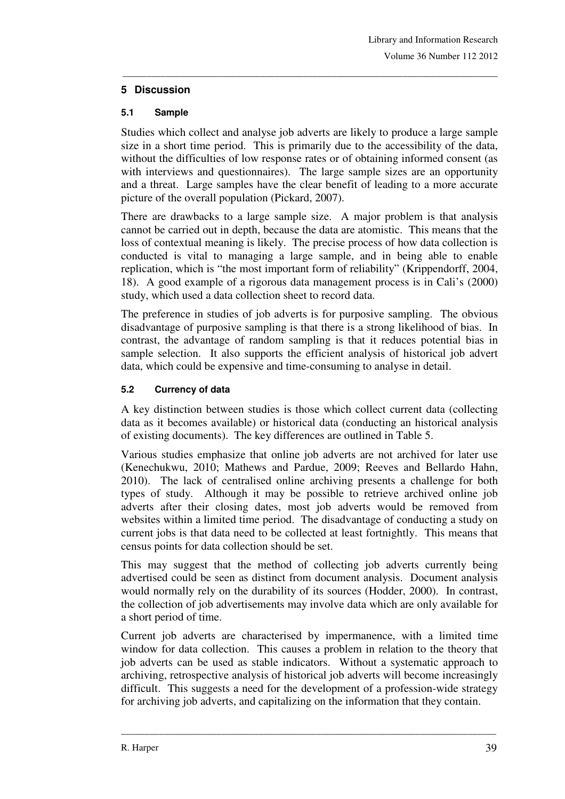### **5 Discussion**

#### **5.1 Sample**

Studies which collect and analyse job adverts are likely to produce a large sample size in a short time period. This is primarily due to the accessibility of the data, without the difficulties of low response rates or of obtaining informed consent (as with interviews and questionnaires). The large sample sizes are an opportunity and a threat. Large samples have the clear benefit of leading to a more accurate picture of the overall population (Pickard, 2007).

\_\_\_\_\_\_\_\_\_\_\_\_\_\_\_\_\_\_\_\_\_\_\_\_\_\_\_\_\_\_\_\_\_\_\_\_\_\_\_\_\_\_\_\_\_\_\_\_\_\_\_\_\_\_\_\_\_\_\_\_\_\_\_\_\_\_\_\_\_\_\_\_\_\_\_\_\_\_\_

There are drawbacks to a large sample size. A major problem is that analysis cannot be carried out in depth, because the data are atomistic. This means that the loss of contextual meaning is likely. The precise process of how data collection is conducted is vital to managing a large sample, and in being able to enable replication, which is "the most important form of reliability" (Krippendorff, 2004, 18). A good example of a rigorous data management process is in Cali's (2000) study, which used a data collection sheet to record data.

The preference in studies of job adverts is for purposive sampling. The obvious disadvantage of purposive sampling is that there is a strong likelihood of bias. In contrast, the advantage of random sampling is that it reduces potential bias in sample selection. It also supports the efficient analysis of historical job advert data, which could be expensive and time-consuming to analyse in detail.

#### **5.2 Currency of data**

A key distinction between studies is those which collect current data (collecting data as it becomes available) or historical data (conducting an historical analysis of existing documents). The key differences are outlined in Table 5.

Various studies emphasize that online job adverts are not archived for later use (Kenechukwu, 2010; Mathews and Pardue, 2009; Reeves and Bellardo Hahn, 2010). The lack of centralised online archiving presents a challenge for both types of study. Although it may be possible to retrieve archived online job adverts after their closing dates, most job adverts would be removed from websites within a limited time period. The disadvantage of conducting a study on current jobs is that data need to be collected at least fortnightly. This means that census points for data collection should be set.

This may suggest that the method of collecting job adverts currently being advertised could be seen as distinct from document analysis. Document analysis would normally rely on the durability of its sources (Hodder, 2000). In contrast, the collection of job advertisements may involve data which are only available for a short period of time.

Current job adverts are characterised by impermanence, with a limited time window for data collection. This causes a problem in relation to the theory that job adverts can be used as stable indicators. Without a systematic approach to archiving, retrospective analysis of historical job adverts will become increasingly difficult. This suggests a need for the development of a profession-wide strategy for archiving job adverts, and capitalizing on the information that they contain.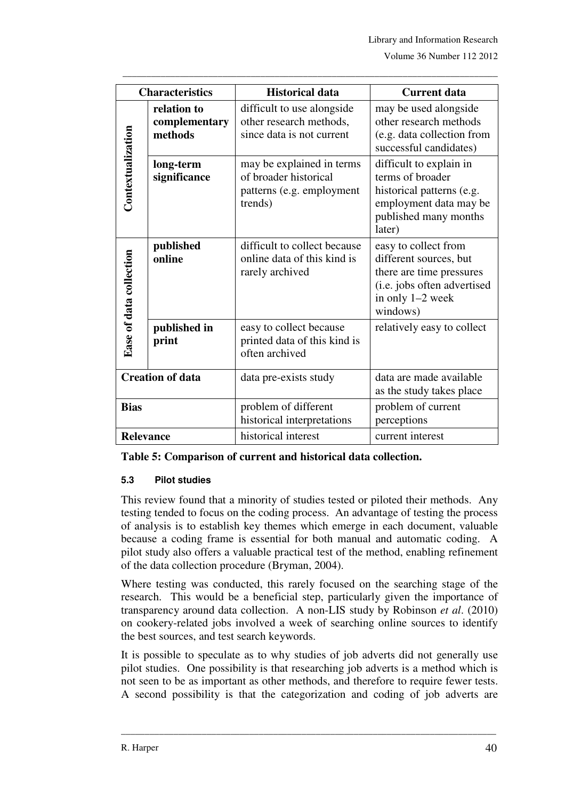|                         | <b>Characteristics</b>                  | <b>Historical data</b>                                                                     | <b>Current data</b>                                                                                                                       |
|-------------------------|-----------------------------------------|--------------------------------------------------------------------------------------------|-------------------------------------------------------------------------------------------------------------------------------------------|
|                         | relation to<br>complementary<br>methods | difficult to use alongside<br>other research methods,<br>since data is not current         | may be used alongside<br>other research methods<br>(e.g. data collection from<br>successful candidates)                                   |
| Contextualization       | long-term<br>significance               | may be explained in terms<br>of broader historical<br>patterns (e.g. employment<br>trends) | difficult to explain in<br>terms of broader<br>historical patterns (e.g.<br>employment data may be<br>published many months<br>later)     |
| Ease of data collection | published<br>online                     | difficult to collect because<br>online data of this kind is<br>rarely archived             | easy to collect from<br>different sources, but<br>there are time pressures<br>(i.e. jobs often advertised<br>in only 1-2 week<br>windows) |
|                         | published in<br>print                   | easy to collect because<br>printed data of this kind is<br>often archived                  | relatively easy to collect                                                                                                                |
|                         | <b>Creation of data</b>                 | data pre-exists study                                                                      | data are made available<br>as the study takes place                                                                                       |
| <b>Bias</b>             |                                         | problem of different<br>historical interpretations                                         | problem of current<br>perceptions                                                                                                         |
| <b>Relevance</b>        |                                         | historical interest                                                                        | current interest                                                                                                                          |

\_\_\_\_\_\_\_\_\_\_\_\_\_\_\_\_\_\_\_\_\_\_\_\_\_\_\_\_\_\_\_\_\_\_\_\_\_\_\_\_\_\_\_\_\_\_\_\_\_\_\_\_\_\_\_\_\_\_\_\_\_\_\_\_\_\_\_\_\_\_\_\_\_\_\_\_\_\_\_

**Table 5: Comparison of current and historical data collection.** 

#### **5.3 Pilot studies**

This review found that a minority of studies tested or piloted their methods. Any testing tended to focus on the coding process. An advantage of testing the process of analysis is to establish key themes which emerge in each document, valuable because a coding frame is essential for both manual and automatic coding. A pilot study also offers a valuable practical test of the method, enabling refinement of the data collection procedure (Bryman, 2004).

Where testing was conducted, this rarely focused on the searching stage of the research. This would be a beneficial step, particularly given the importance of transparency around data collection. A non-LIS study by Robinson *et al*. (2010) on cookery-related jobs involved a week of searching online sources to identify the best sources, and test search keywords.

It is possible to speculate as to why studies of job adverts did not generally use pilot studies. One possibility is that researching job adverts is a method which is not seen to be as important as other methods, and therefore to require fewer tests. A second possibility is that the categorization and coding of job adverts are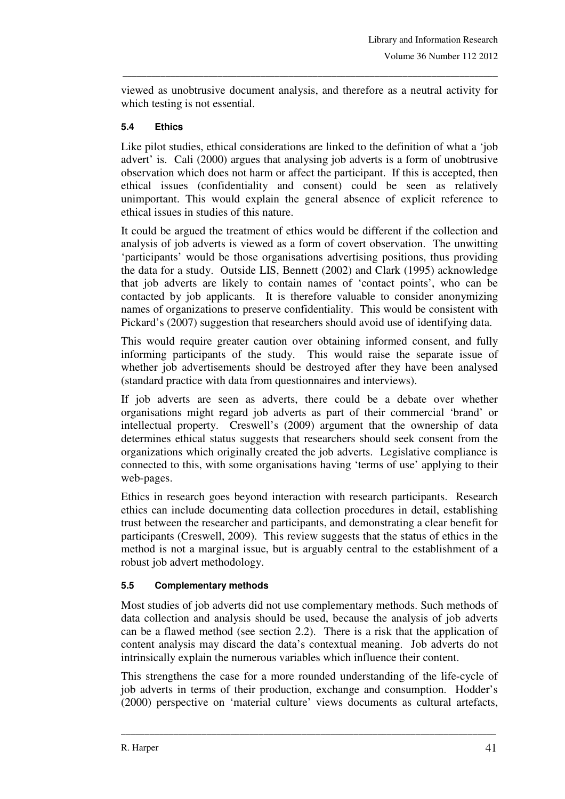viewed as unobtrusive document analysis, and therefore as a neutral activity for which testing is not essential.

\_\_\_\_\_\_\_\_\_\_\_\_\_\_\_\_\_\_\_\_\_\_\_\_\_\_\_\_\_\_\_\_\_\_\_\_\_\_\_\_\_\_\_\_\_\_\_\_\_\_\_\_\_\_\_\_\_\_\_\_\_\_\_\_\_\_\_\_\_\_\_\_\_\_\_\_\_\_\_

#### **5.4 Ethics**

Like pilot studies, ethical considerations are linked to the definition of what a 'job advert' is. Cali (2000) argues that analysing job adverts is a form of unobtrusive observation which does not harm or affect the participant. If this is accepted, then ethical issues (confidentiality and consent) could be seen as relatively unimportant. This would explain the general absence of explicit reference to ethical issues in studies of this nature.

It could be argued the treatment of ethics would be different if the collection and analysis of job adverts is viewed as a form of covert observation. The unwitting 'participants' would be those organisations advertising positions, thus providing the data for a study. Outside LIS, Bennett (2002) and Clark (1995) acknowledge that job adverts are likely to contain names of 'contact points', who can be contacted by job applicants. It is therefore valuable to consider anonymizing names of organizations to preserve confidentiality. This would be consistent with Pickard's (2007) suggestion that researchers should avoid use of identifying data.

This would require greater caution over obtaining informed consent, and fully informing participants of the study. This would raise the separate issue of whether job advertisements should be destroyed after they have been analysed (standard practice with data from questionnaires and interviews).

If job adverts are seen as adverts, there could be a debate over whether organisations might regard job adverts as part of their commercial 'brand' or intellectual property. Creswell's (2009) argument that the ownership of data determines ethical status suggests that researchers should seek consent from the organizations which originally created the job adverts. Legislative compliance is connected to this, with some organisations having 'terms of use' applying to their web-pages.

Ethics in research goes beyond interaction with research participants. Research ethics can include documenting data collection procedures in detail, establishing trust between the researcher and participants, and demonstrating a clear benefit for participants (Creswell, 2009). This review suggests that the status of ethics in the method is not a marginal issue, but is arguably central to the establishment of a robust job advert methodology.

#### **5.5 Complementary methods**

Most studies of job adverts did not use complementary methods. Such methods of data collection and analysis should be used, because the analysis of job adverts can be a flawed method (see section 2.2). There is a risk that the application of content analysis may discard the data's contextual meaning. Job adverts do not intrinsically explain the numerous variables which influence their content.

This strengthens the case for a more rounded understanding of the life-cycle of job adverts in terms of their production, exchange and consumption. Hodder's (2000) perspective on 'material culture' views documents as cultural artefacts,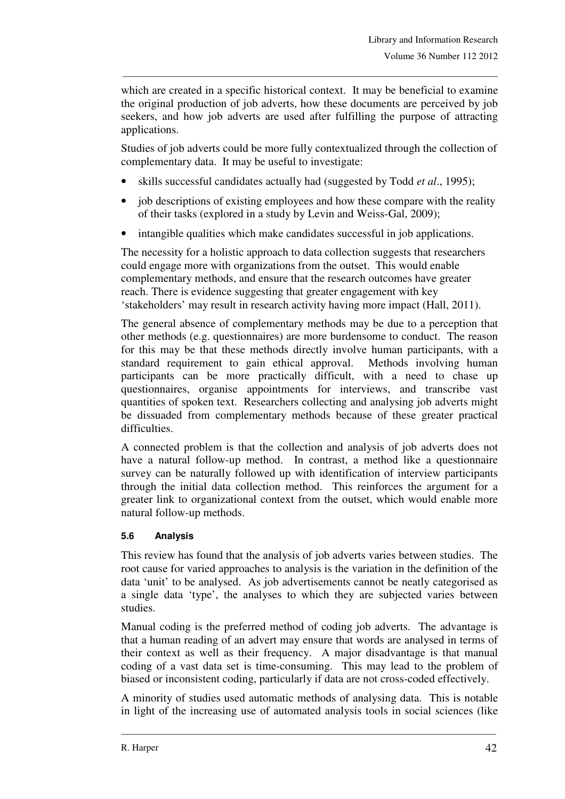which are created in a specific historical context. It may be beneficial to examine the original production of job adverts, how these documents are perceived by job seekers, and how job adverts are used after fulfilling the purpose of attracting applications.

\_\_\_\_\_\_\_\_\_\_\_\_\_\_\_\_\_\_\_\_\_\_\_\_\_\_\_\_\_\_\_\_\_\_\_\_\_\_\_\_\_\_\_\_\_\_\_\_\_\_\_\_\_\_\_\_\_\_\_\_\_\_\_\_\_\_\_\_\_\_\_\_\_\_\_\_\_\_\_

Studies of job adverts could be more fully contextualized through the collection of complementary data. It may be useful to investigate:

- skills successful candidates actually had (suggested by Todd *et al*., 1995);
- job descriptions of existing employees and how these compare with the reality of their tasks (explored in a study by Levin and Weiss-Gal, 2009);
- intangible qualities which make candidates successful in job applications.

The necessity for a holistic approach to data collection suggests that researchers could engage more with organizations from the outset. This would enable complementary methods, and ensure that the research outcomes have greater reach. There is evidence suggesting that greater engagement with key 'stakeholders' may result in research activity having more impact (Hall, 2011).

The general absence of complementary methods may be due to a perception that other methods (e.g. questionnaires) are more burdensome to conduct. The reason for this may be that these methods directly involve human participants, with a standard requirement to gain ethical approval. Methods involving human participants can be more practically difficult, with a need to chase up questionnaires, organise appointments for interviews, and transcribe vast quantities of spoken text. Researchers collecting and analysing job adverts might be dissuaded from complementary methods because of these greater practical difficulties.

A connected problem is that the collection and analysis of job adverts does not have a natural follow-up method. In contrast, a method like a questionnaire survey can be naturally followed up with identification of interview participants through the initial data collection method. This reinforces the argument for a greater link to organizational context from the outset, which would enable more natural follow-up methods.

## **5.6 Analysis**

This review has found that the analysis of job adverts varies between studies. The root cause for varied approaches to analysis is the variation in the definition of the data 'unit' to be analysed. As job advertisements cannot be neatly categorised as a single data 'type', the analyses to which they are subjected varies between studies.

Manual coding is the preferred method of coding job adverts. The advantage is that a human reading of an advert may ensure that words are analysed in terms of their context as well as their frequency. A major disadvantage is that manual coding of a vast data set is time-consuming. This may lead to the problem of biased or inconsistent coding, particularly if data are not cross-coded effectively.

A minority of studies used automatic methods of analysing data. This is notable in light of the increasing use of automated analysis tools in social sciences (like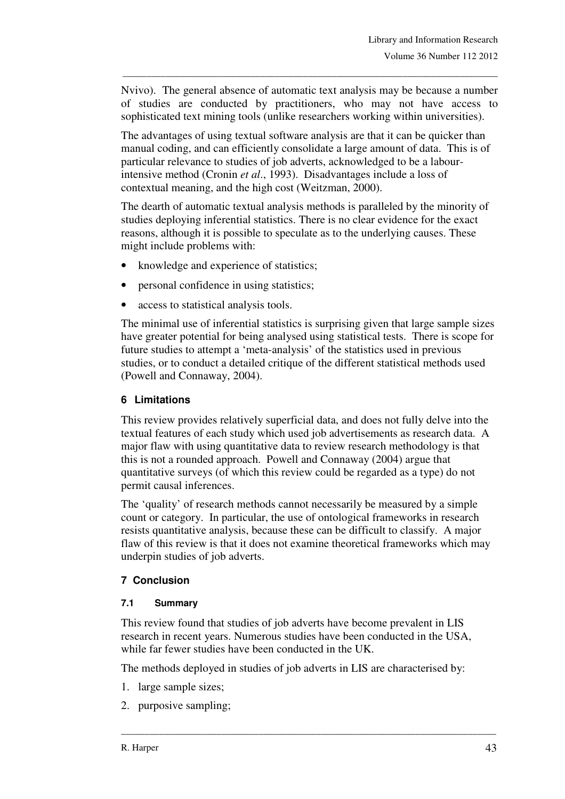Nvivo). The general absence of automatic text analysis may be because a number of studies are conducted by practitioners, who may not have access to sophisticated text mining tools (unlike researchers working within universities).

\_\_\_\_\_\_\_\_\_\_\_\_\_\_\_\_\_\_\_\_\_\_\_\_\_\_\_\_\_\_\_\_\_\_\_\_\_\_\_\_\_\_\_\_\_\_\_\_\_\_\_\_\_\_\_\_\_\_\_\_\_\_\_\_\_\_\_\_\_\_\_\_\_\_\_\_\_\_\_

The advantages of using textual software analysis are that it can be quicker than manual coding, and can efficiently consolidate a large amount of data. This is of particular relevance to studies of job adverts, acknowledged to be a labourintensive method (Cronin *et al*., 1993). Disadvantages include a loss of contextual meaning, and the high cost (Weitzman, 2000).

The dearth of automatic textual analysis methods is paralleled by the minority of studies deploying inferential statistics. There is no clear evidence for the exact reasons, although it is possible to speculate as to the underlying causes. These might include problems with:

- knowledge and experience of statistics;
- personal confidence in using statistics;
- access to statistical analysis tools.

The minimal use of inferential statistics is surprising given that large sample sizes have greater potential for being analysed using statistical tests. There is scope for future studies to attempt a 'meta-analysis' of the statistics used in previous studies, or to conduct a detailed critique of the different statistical methods used (Powell and Connaway, 2004).

## **6 Limitations**

This review provides relatively superficial data, and does not fully delve into the textual features of each study which used job advertisements as research data. A major flaw with using quantitative data to review research methodology is that this is not a rounded approach. Powell and Connaway (2004) argue that quantitative surveys (of which this review could be regarded as a type) do not permit causal inferences.

The 'quality' of research methods cannot necessarily be measured by a simple count or category. In particular, the use of ontological frameworks in research resists quantitative analysis, because these can be difficult to classify. A major flaw of this review is that it does not examine theoretical frameworks which may underpin studies of job adverts.

## **7 Conclusion**

#### **7.1 Summary**

This review found that studies of job adverts have become prevalent in LIS research in recent years. Numerous studies have been conducted in the USA, while far fewer studies have been conducted in the UK.

The methods deployed in studies of job adverts in LIS are characterised by:

- 1. large sample sizes;
- 2. purposive sampling;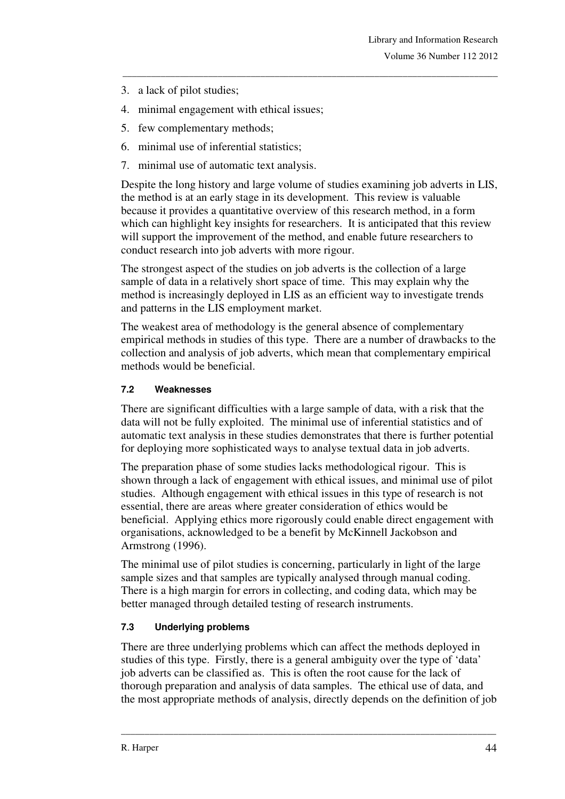- 3. a lack of pilot studies;
- 4. minimal engagement with ethical issues;
- 5. few complementary methods;
- 6. minimal use of inferential statistics;
- 7. minimal use of automatic text analysis.

Despite the long history and large volume of studies examining job adverts in LIS, the method is at an early stage in its development. This review is valuable because it provides a quantitative overview of this research method, in a form which can highlight key insights for researchers. It is anticipated that this review will support the improvement of the method, and enable future researchers to conduct research into job adverts with more rigour.

\_\_\_\_\_\_\_\_\_\_\_\_\_\_\_\_\_\_\_\_\_\_\_\_\_\_\_\_\_\_\_\_\_\_\_\_\_\_\_\_\_\_\_\_\_\_\_\_\_\_\_\_\_\_\_\_\_\_\_\_\_\_\_\_\_\_\_\_\_\_\_\_\_\_\_\_\_\_\_

The strongest aspect of the studies on job adverts is the collection of a large sample of data in a relatively short space of time. This may explain why the method is increasingly deployed in LIS as an efficient way to investigate trends and patterns in the LIS employment market.

The weakest area of methodology is the general absence of complementary empirical methods in studies of this type. There are a number of drawbacks to the collection and analysis of job adverts, which mean that complementary empirical methods would be beneficial.

## **7.2 Weaknesses**

There are significant difficulties with a large sample of data, with a risk that the data will not be fully exploited. The minimal use of inferential statistics and of automatic text analysis in these studies demonstrates that there is further potential for deploying more sophisticated ways to analyse textual data in job adverts.

The preparation phase of some studies lacks methodological rigour. This is shown through a lack of engagement with ethical issues, and minimal use of pilot studies. Although engagement with ethical issues in this type of research is not essential, there are areas where greater consideration of ethics would be beneficial. Applying ethics more rigorously could enable direct engagement with organisations, acknowledged to be a benefit by McKinnell Jackobson and Armstrong (1996).

The minimal use of pilot studies is concerning, particularly in light of the large sample sizes and that samples are typically analysed through manual coding. There is a high margin for errors in collecting, and coding data, which may be better managed through detailed testing of research instruments.

## **7.3 Underlying problems**

There are three underlying problems which can affect the methods deployed in studies of this type. Firstly, there is a general ambiguity over the type of 'data' job adverts can be classified as. This is often the root cause for the lack of thorough preparation and analysis of data samples. The ethical use of data, and the most appropriate methods of analysis, directly depends on the definition of job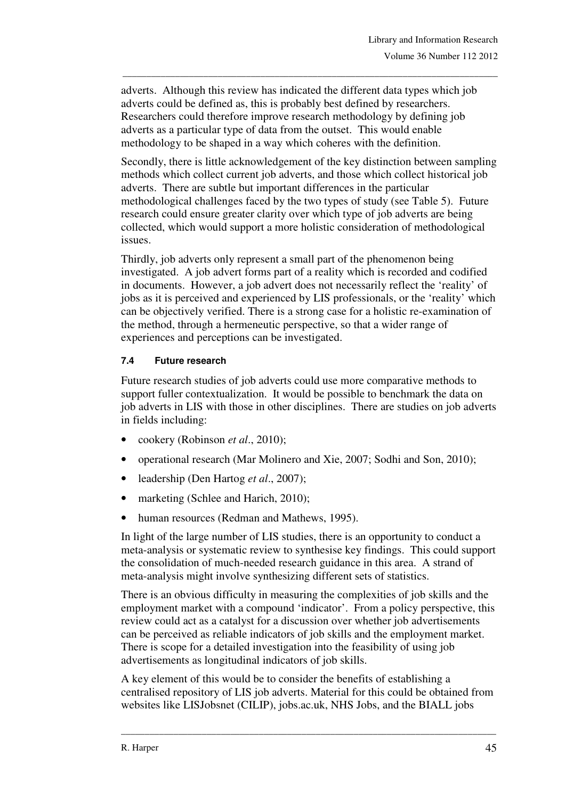adverts. Although this review has indicated the different data types which job adverts could be defined as, this is probably best defined by researchers. Researchers could therefore improve research methodology by defining job adverts as a particular type of data from the outset. This would enable methodology to be shaped in a way which coheres with the definition.

\_\_\_\_\_\_\_\_\_\_\_\_\_\_\_\_\_\_\_\_\_\_\_\_\_\_\_\_\_\_\_\_\_\_\_\_\_\_\_\_\_\_\_\_\_\_\_\_\_\_\_\_\_\_\_\_\_\_\_\_\_\_\_\_\_\_\_\_\_\_\_\_\_\_\_\_\_\_\_

Secondly, there is little acknowledgement of the key distinction between sampling methods which collect current job adverts, and those which collect historical job adverts. There are subtle but important differences in the particular methodological challenges faced by the two types of study (see Table 5). Future research could ensure greater clarity over which type of job adverts are being collected, which would support a more holistic consideration of methodological issues.

Thirdly, job adverts only represent a small part of the phenomenon being investigated. A job advert forms part of a reality which is recorded and codified in documents. However, a job advert does not necessarily reflect the 'reality' of jobs as it is perceived and experienced by LIS professionals, or the 'reality' which can be objectively verified. There is a strong case for a holistic re-examination of the method, through a hermeneutic perspective, so that a wider range of experiences and perceptions can be investigated.

### **7.4 Future research**

Future research studies of job adverts could use more comparative methods to support fuller contextualization. It would be possible to benchmark the data on job adverts in LIS with those in other disciplines. There are studies on job adverts in fields including:

- cookery (Robinson *et al*., 2010);
- operational research (Mar Molinero and Xie, 2007; Sodhi and Son, 2010);
- leadership (Den Hartog *et al*., 2007);
- marketing (Schlee and Harich, 2010);
- human resources (Redman and Mathews, 1995).

In light of the large number of LIS studies, there is an opportunity to conduct a meta-analysis or systematic review to synthesise key findings. This could support the consolidation of much-needed research guidance in this area. A strand of meta-analysis might involve synthesizing different sets of statistics.

There is an obvious difficulty in measuring the complexities of job skills and the employment market with a compound 'indicator'. From a policy perspective, this review could act as a catalyst for a discussion over whether job advertisements can be perceived as reliable indicators of job skills and the employment market. There is scope for a detailed investigation into the feasibility of using job advertisements as longitudinal indicators of job skills.

A key element of this would be to consider the benefits of establishing a centralised repository of LIS job adverts. Material for this could be obtained from websites like LISJobsnet (CILIP), jobs.ac.uk, NHS Jobs, and the BIALL jobs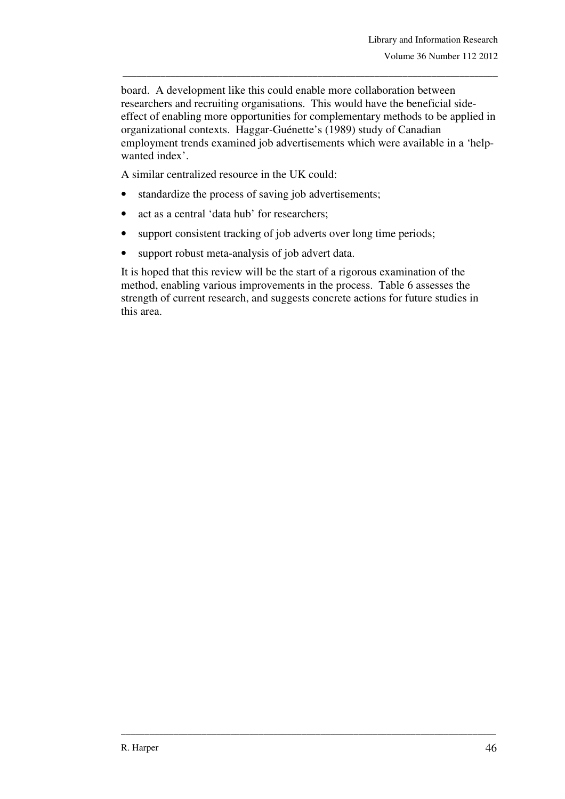board. A development like this could enable more collaboration between researchers and recruiting organisations. This would have the beneficial sideeffect of enabling more opportunities for complementary methods to be applied in organizational contexts. Haggar-Guénette's (1989) study of Canadian employment trends examined job advertisements which were available in a 'helpwanted index'.

\_\_\_\_\_\_\_\_\_\_\_\_\_\_\_\_\_\_\_\_\_\_\_\_\_\_\_\_\_\_\_\_\_\_\_\_\_\_\_\_\_\_\_\_\_\_\_\_\_\_\_\_\_\_\_\_\_\_\_\_\_\_\_\_\_\_\_\_\_\_\_\_\_\_\_\_\_\_\_

A similar centralized resource in the UK could:

- standardize the process of saving job advertisements;
- act as a central 'data hub' for researchers;
- support consistent tracking of job adverts over long time periods;
- support robust meta-analysis of job advert data.

It is hoped that this review will be the start of a rigorous examination of the method, enabling various improvements in the process. Table 6 assesses the strength of current research, and suggests concrete actions for future studies in this area.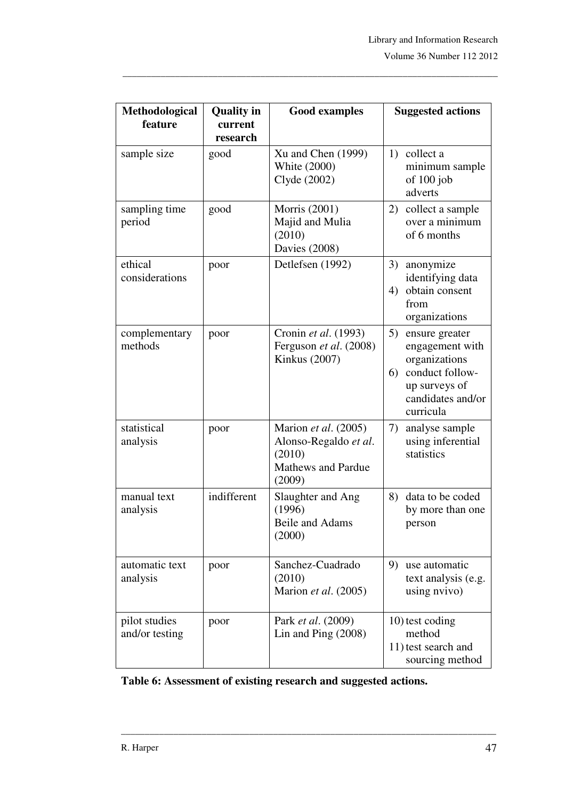| Methodological<br>feature       | <b>Quality in</b><br>current<br>research | <b>Good examples</b>                                                                           | <b>Suggested actions</b>                                                                                                             |
|---------------------------------|------------------------------------------|------------------------------------------------------------------------------------------------|--------------------------------------------------------------------------------------------------------------------------------------|
| sample size                     | good                                     | $Xu$ and Chen $(1999)$<br>White (2000)<br>Clyde (2002)                                         | 1) collect a<br>minimum sample<br>of $100$ job<br>adverts                                                                            |
| sampling time<br>period         | good                                     | Morris (2001)<br>Majid and Mulia<br>(2010)<br><b>Davies</b> (2008)                             | 2)<br>collect a sample<br>over a minimum<br>of 6 months                                                                              |
| ethical<br>considerations       | poor                                     | Detlefsen (1992)                                                                               | 3)<br>anonymize<br>identifying data<br>obtain consent<br>4)<br>from<br>organizations                                                 |
| complementary<br>methods        | poor                                     | Cronin et al. (1993)<br>Ferguson et al. (2008)<br><b>Kinkus</b> (2007)                         | 5)<br>ensure greater<br>engagement with<br>organizations<br>conduct follow-<br>6)<br>up surveys of<br>candidates and/or<br>curricula |
| statistical<br>analysis         | poor                                     | Marion et al. (2005)<br>Alonso-Regaldo et al.<br>(2010)<br><b>Mathews and Pardue</b><br>(2009) | 7)<br>analyse sample<br>using inferential<br>statistics                                                                              |
| manual text<br>analysis         | indifferent                              | Slaughter and Ang<br>(1996)<br><b>Beile and Adams</b><br>(2000)                                | data to be coded<br>8)<br>by more than one<br>person                                                                                 |
| automatic text<br>analysis      | poor                                     | Sanchez-Cuadrado<br>(2010)<br>Marion et al. (2005)                                             | 9) use automatic<br>text analysis (e.g.<br>using nvivo)                                                                              |
| pilot studies<br>and/or testing | poor                                     | Park et al. (2009)<br>Lin and Ping $(2008)$                                                    | 10) test coding<br>method<br>11) test search and<br>sourcing method                                                                  |

\_\_\_\_\_\_\_\_\_\_\_\_\_\_\_\_\_\_\_\_\_\_\_\_\_\_\_\_\_\_\_\_\_\_\_\_\_\_\_\_\_\_\_\_\_\_\_\_\_\_\_\_\_\_\_\_\_\_\_\_\_\_\_\_\_\_\_\_\_\_\_\_\_\_\_\_\_\_\_

**Table 6: Assessment of existing research and suggested actions.**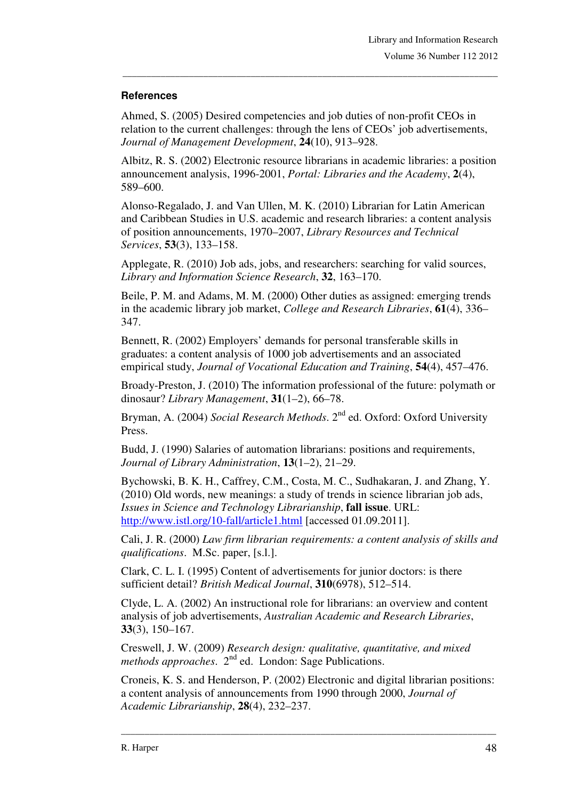#### **References**

Ahmed, S. (2005) Desired competencies and job duties of non-profit CEOs in relation to the current challenges: through the lens of CEOs' job advertisements, *Journal of Management Development*, **24**(10), 913–928.

\_\_\_\_\_\_\_\_\_\_\_\_\_\_\_\_\_\_\_\_\_\_\_\_\_\_\_\_\_\_\_\_\_\_\_\_\_\_\_\_\_\_\_\_\_\_\_\_\_\_\_\_\_\_\_\_\_\_\_\_\_\_\_\_\_\_\_\_\_\_\_\_\_\_\_\_\_\_\_

Albitz, R. S. (2002) Electronic resource librarians in academic libraries: a position announcement analysis, 1996-2001, *Portal: Libraries and the Academy*, **2**(4), 589–600.

Alonso-Regalado, J. and Van Ullen, M. K. (2010) Librarian for Latin American and Caribbean Studies in U.S. academic and research libraries: a content analysis of position announcements, 1970–2007, *Library Resources and Technical Services*, **53**(3), 133–158.

Applegate, R. (2010) Job ads, jobs, and researchers: searching for valid sources, *Library and Information Science Research*, **32**, 163–170.

Beile, P. M. and Adams, M. M. (2000) Other duties as assigned: emerging trends in the academic library job market, *College and Research Libraries*, **61**(4), 336– 347.

Bennett, R. (2002) Employers' demands for personal transferable skills in graduates: a content analysis of 1000 job advertisements and an associated empirical study, *Journal of Vocational Education and Training*, **54**(4), 457–476.

Broady-Preston, J. (2010) The information professional of the future: polymath or dinosaur? *Library Management*, **31**(1–2), 66–78.

Bryman, A. (2004) *Social Research Methods*. 2nd ed. Oxford: Oxford University Press.

Budd, J. (1990) Salaries of automation librarians: positions and requirements, *Journal of Library Administration*, **13**(1–2), 21–29.

Bychowski, B. K. H., Caffrey, C.M., Costa, M. C., Sudhakaran, J. and Zhang, Y. (2010) Old words, new meanings: a study of trends in science librarian job ads, *Issues in Science and Technology Librarianship*, **fall issue**. URL: http://www.istl.org/10-fall/article1.html [accessed 01.09.2011].

Cali, J. R. (2000) *Law firm librarian requirements: a content analysis of skills and qualifications*. M.Sc. paper, [s.l.].

Clark, C. L. I. (1995) Content of advertisements for junior doctors: is there sufficient detail? *British Medical Journal*, **310**(6978), 512–514.

Clyde, L. A. (2002) An instructional role for librarians: an overview and content analysis of job advertisements, *Australian Academic and Research Libraries*, **33**(3), 150–167.

Creswell, J. W. (2009) *Research design: qualitative, quantitative, and mixed methods approaches*. 2nd ed. London: Sage Publications.

Croneis, K. S. and Henderson, P. (2002) Electronic and digital librarian positions: a content analysis of announcements from 1990 through 2000, *Journal of Academic Librarianship*, **28**(4), 232–237.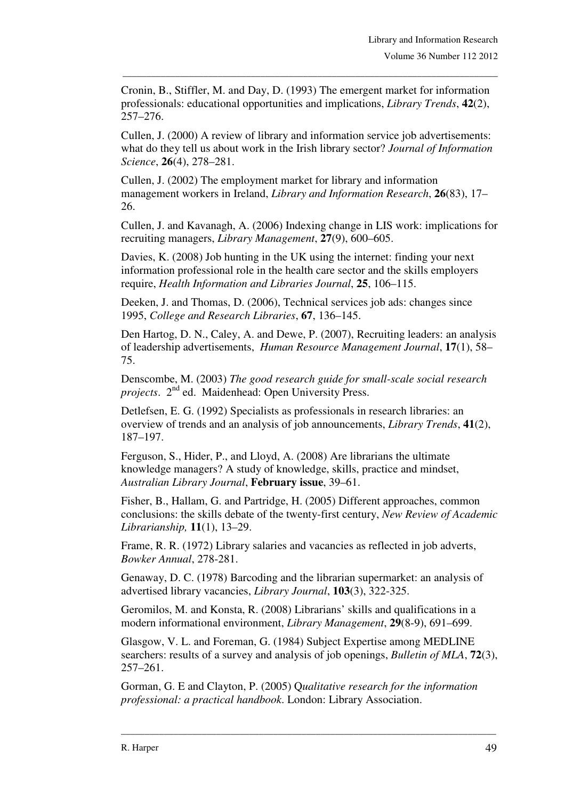Cronin, B., Stiffler, M. and Day, D. (1993) The emergent market for information professionals: educational opportunities and implications, *Library Trends*, **42**(2), 257–276.

\_\_\_\_\_\_\_\_\_\_\_\_\_\_\_\_\_\_\_\_\_\_\_\_\_\_\_\_\_\_\_\_\_\_\_\_\_\_\_\_\_\_\_\_\_\_\_\_\_\_\_\_\_\_\_\_\_\_\_\_\_\_\_\_\_\_\_\_\_\_\_\_\_\_\_\_\_\_\_

Cullen, J. (2000) A review of library and information service job advertisements: what do they tell us about work in the Irish library sector? *Journal of Information Science*, **26**(4), 278–281.

Cullen, J. (2002) The employment market for library and information management workers in Ireland, *Library and Information Research*, **26**(83), 17– 26.

Cullen, J. and Kavanagh, A. (2006) Indexing change in LIS work: implications for recruiting managers, *Library Management*, **27**(9), 600–605.

Davies, K. (2008) Job hunting in the UK using the internet: finding your next information professional role in the health care sector and the skills employers require, *Health Information and Libraries Journal*, **25**, 106–115.

Deeken, J. and Thomas, D. (2006), Technical services job ads: changes since 1995, *College and Research Libraries*, **67**, 136–145.

Den Hartog, D. N., Caley, A. and Dewe, P. (2007), Recruiting leaders: an analysis of leadership advertisements, *Human Resource Management Journal*, **17**(1), 58– 75.

Denscombe, M. (2003) *The good research guide for small-scale social research projects.* 2<sup>nd</sup> ed. Maidenhead: Open University Press.

Detlefsen, E. G. (1992) Specialists as professionals in research libraries: an overview of trends and an analysis of job announcements, *Library Trends*, **41**(2), 187–197.

Ferguson, S., Hider, P., and Lloyd, A. (2008) Are librarians the ultimate knowledge managers? A study of knowledge, skills, practice and mindset, *Australian Library Journal*, **February issue**, 39–61.

Fisher, B., Hallam, G. and Partridge, H. (2005) Different approaches, common conclusions: the skills debate of the twenty-first century, *New Review of Academic Librarianship,* **11**(1), 13–29.

Frame, R. R. (1972) Library salaries and vacancies as reflected in job adverts, *Bowker Annual*, 278-281.

Genaway, D. C. (1978) Barcoding and the librarian supermarket: an analysis of advertised library vacancies, *Library Journal*, **103**(3), 322-325.

Geromilos, M. and Konsta, R. (2008) Librarians' skills and qualifications in a modern informational environment, *Library Management*, **29**(8-9), 691–699.

Glasgow, V. L. and Foreman, G. (1984) Subject Expertise among MEDLINE searchers: results of a survey and analysis of job openings, *Bulletin of MLA*, **72**(3), 257–261.

\_\_\_\_\_\_\_\_\_\_\_\_\_\_\_\_\_\_\_\_\_\_\_\_\_\_\_\_\_\_\_\_\_\_\_\_\_\_\_\_\_\_\_\_\_\_\_\_\_\_\_\_\_\_\_\_\_\_\_\_\_\_\_\_\_\_\_\_\_\_\_\_\_\_\_\_\_\_\_

Gorman, G. E and Clayton, P. (2005) Q*ualitative research for the information professional: a practical handbook*. London: Library Association.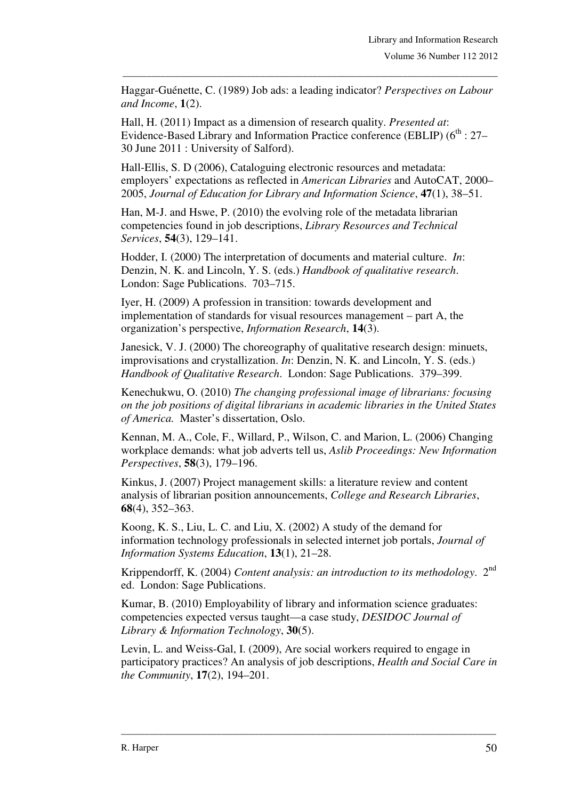Haggar-Guénette, C. (1989) Job ads: a leading indicator? *Perspectives on Labour and Income*, **1**(2).

\_\_\_\_\_\_\_\_\_\_\_\_\_\_\_\_\_\_\_\_\_\_\_\_\_\_\_\_\_\_\_\_\_\_\_\_\_\_\_\_\_\_\_\_\_\_\_\_\_\_\_\_\_\_\_\_\_\_\_\_\_\_\_\_\_\_\_\_\_\_\_\_\_\_\_\_\_\_\_

Hall, H. (2011) Impact as a dimension of research quality. *Presented at*: Evidence-Based Library and Information Practice conference (EBLIP) (6<sup>th</sup> : 27– 30 June 2011 : University of Salford).

Hall-Ellis, S. D (2006), Cataloguing electronic resources and metadata: employers' expectations as reflected in *American Libraries* and AutoCAT, 2000– 2005, *Journal of Education for Library and Information Science*, **47**(1), 38–51.

Han, M-J. and Hswe, P. (2010) the evolving role of the metadata librarian competencies found in job descriptions, *Library Resources and Technical Services*, **54**(3), 129–141.

Hodder, I. (2000) The interpretation of documents and material culture. *In*: Denzin, N. K. and Lincoln, Y. S. (eds.) *Handbook of qualitative research*. London: Sage Publications. 703–715.

Iyer, H. (2009) A profession in transition: towards development and implementation of standards for visual resources management – part A, the organization's perspective, *Information Research*, **14**(3).

Janesick, V. J. (2000) The choreography of qualitative research design: minuets, improvisations and crystallization. *In*: Denzin, N. K. and Lincoln, Y. S. (eds.) *Handbook of Qualitative Research*. London: Sage Publications. 379–399.

Kenechukwu, O. (2010) *The changing professional image of librarians: focusing on the job positions of digital librarians in academic libraries in the United States of America.* Master's dissertation, Oslo.

Kennan, M. A., Cole, F., Willard, P., Wilson, C. and Marion, L. (2006) Changing workplace demands: what job adverts tell us, *Aslib Proceedings: New Information Perspectives*, **58**(3), 179–196.

Kinkus, J. (2007) Project management skills: a literature review and content analysis of librarian position announcements, *College and Research Libraries*, **68**(4), 352–363.

Koong, K. S., Liu, L. C. and Liu, X. (2002) A study of the demand for information technology professionals in selected internet job portals, *Journal of Information Systems Education*, **13**(1), 21–28.

Krippendorff, K. (2004) *Content analysis: an introduction to its methodology*. 2nd ed. London: Sage Publications.

Kumar, B. (2010) Employability of library and information science graduates: competencies expected versus taught—a case study, *DESIDOC Journal of Library & Information Technology*, **30**(5).

Levin, L. and Weiss-Gal, I. (2009), Are social workers required to engage in participatory practices? An analysis of job descriptions, *Health and Social Care in the Community*, **17**(2), 194–201.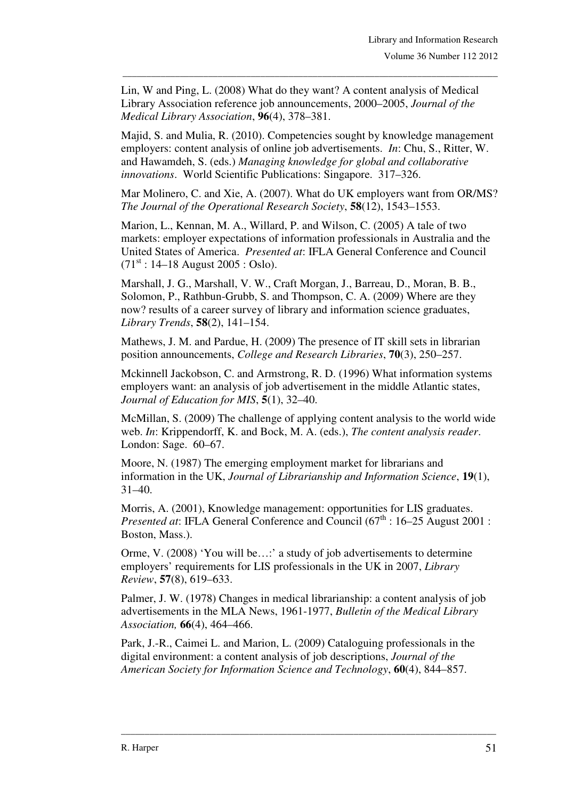Lin, W and Ping, L. (2008) What do they want? A content analysis of Medical Library Association reference job announcements, 2000–2005, *Journal of the Medical Library Association*, **96**(4), 378–381.

\_\_\_\_\_\_\_\_\_\_\_\_\_\_\_\_\_\_\_\_\_\_\_\_\_\_\_\_\_\_\_\_\_\_\_\_\_\_\_\_\_\_\_\_\_\_\_\_\_\_\_\_\_\_\_\_\_\_\_\_\_\_\_\_\_\_\_\_\_\_\_\_\_\_\_\_\_\_\_

Majid, S. and Mulia, R. (2010). Competencies sought by knowledge management employers: content analysis of online job advertisements. *In*: Chu, S., Ritter, W. and Hawamdeh, S. (eds.) *Managing knowledge for global and collaborative innovations*. World Scientific Publications: Singapore. 317–326.

Mar Molinero, C. and Xie, A. (2007). What do UK employers want from OR/MS? *The Journal of the Operational Research Society*, **58**(12), 1543–1553.

Marion, L., Kennan, M. A., Willard, P. and Wilson, C. (2005) A tale of two markets: employer expectations of information professionals in Australia and the United States of America. *Presented at*: IFLA General Conference and Council  $(71<sup>st</sup> : 14–18$  August 2005 : Oslo).

Marshall, J. G., Marshall, V. W., Craft Morgan, J., Barreau, D., Moran, B. B., Solomon, P., Rathbun-Grubb, S. and Thompson, C. A. (2009) Where are they now? results of a career survey of library and information science graduates, *Library Trends*, **58**(2), 141–154.

Mathews, J. M. and Pardue, H. (2009) The presence of IT skill sets in librarian position announcements, *College and Research Libraries*, **70**(3), 250–257.

Mckinnell Jackobson, C. and Armstrong, R. D. (1996) What information systems employers want: an analysis of job advertisement in the middle Atlantic states, *Journal of Education for MIS*, **5**(1), 32–40.

McMillan, S. (2009) The challenge of applying content analysis to the world wide web. *In*: Krippendorff, K. and Bock, M. A. (eds.), *The content analysis reader*. London: Sage. 60–67.

Moore, N. (1987) The emerging employment market for librarians and information in the UK, *Journal of Librarianship and Information Science*, **19**(1), 31–40.

Morris, A. (2001), Knowledge management: opportunities for LIS graduates. *Presented at*: IFLA General Conference and Council (67<sup>th</sup> : 16–25 August 2001 : Boston, Mass.).

Orme, V. (2008) 'You will be…:' a study of job advertisements to determine employers' requirements for LIS professionals in the UK in 2007, *Library Review*, **57**(8), 619–633.

Palmer, J. W. (1978) Changes in medical librarianship: a content analysis of job advertisements in the MLA News, 1961-1977, *Bulletin of the Medical Library Association,* **66**(4), 464–466.

Park, J.-R., Caimei L. and Marion, L. (2009) Cataloguing professionals in the digital environment: a content analysis of job descriptions, *Journal of the American Society for Information Science and Technology*, **60**(4), 844–857.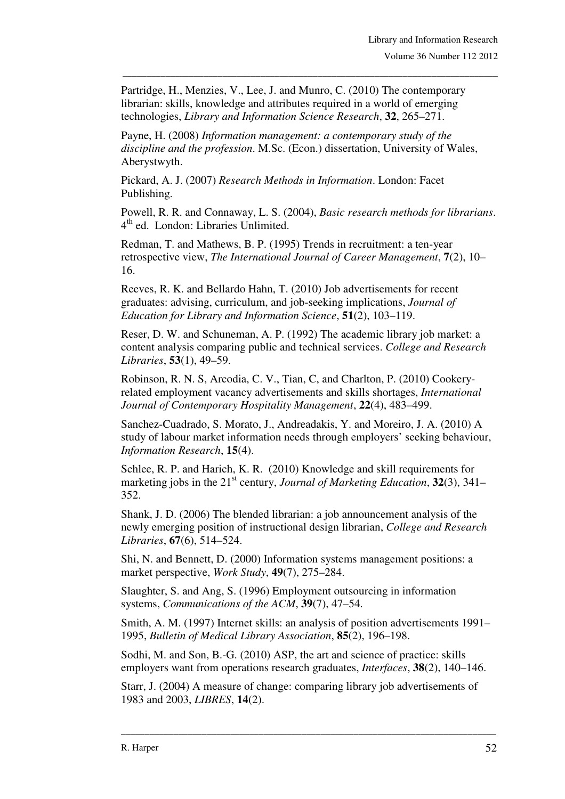Partridge, H., Menzies, V., Lee, J. and Munro, C. (2010) The contemporary librarian: skills, knowledge and attributes required in a world of emerging technologies, *Library and Information Science Research*, **32**, 265–271.

\_\_\_\_\_\_\_\_\_\_\_\_\_\_\_\_\_\_\_\_\_\_\_\_\_\_\_\_\_\_\_\_\_\_\_\_\_\_\_\_\_\_\_\_\_\_\_\_\_\_\_\_\_\_\_\_\_\_\_\_\_\_\_\_\_\_\_\_\_\_\_\_\_\_\_\_\_\_\_

Payne, H. (2008) *Information management: a contemporary study of the discipline and the profession*. M.Sc. (Econ.) dissertation, University of Wales, Aberystwyth.

Pickard, A. J. (2007) *Research Methods in Information*. London: Facet Publishing.

Powell, R. R. and Connaway, L. S. (2004), *Basic research methods for librarians*. 4<sup>th</sup> ed. London: Libraries Unlimited.

Redman, T. and Mathews, B. P. (1995) Trends in recruitment: a ten-year retrospective view, *The International Journal of Career Management*, **7**(2), 10– 16.

Reeves, R. K. and Bellardo Hahn, T. (2010) Job advertisements for recent graduates: advising, curriculum, and job-seeking implications, *Journal of Education for Library and Information Science*, **51**(2), 103–119.

Reser, D. W. and Schuneman, A. P. (1992) The academic library job market: a content analysis comparing public and technical services. *College and Research Libraries*, **53**(1), 49–59.

Robinson, R. N. S, Arcodia, C. V., Tian, C, and Charlton, P. (2010) Cookeryrelated employment vacancy advertisements and skills shortages, *International Journal of Contemporary Hospitality Management*, **22**(4), 483–499.

Sanchez-Cuadrado, S. Morato, J., Andreadakis, Y. and Moreiro, J. A. (2010) A study of labour market information needs through employers' seeking behaviour, *Information Research*, **15**(4).

Schlee, R. P. and Harich, K. R. (2010) Knowledge and skill requirements for marketing jobs in the 21<sup>st</sup> century, *Journal of Marketing Education*, **32**(3), 341– 352.

Shank, J. D. (2006) The blended librarian: a job announcement analysis of the newly emerging position of instructional design librarian, *College and Research Libraries*, **67**(6), 514–524.

Shi, N. and Bennett, D. (2000) Information systems management positions: a market perspective, *Work Study*, **49**(7), 275–284.

Slaughter, S. and Ang, S. (1996) Employment outsourcing in information systems, *Communications of the ACM*, **39**(7), 47–54.

Smith, A. M. (1997) Internet skills: an analysis of position advertisements 1991– 1995, *Bulletin of Medical Library Association*, **85**(2), 196–198.

Sodhi, M. and Son, B.-G. (2010) ASP, the art and science of practice: skills employers want from operations research graduates, *Interfaces*, **38**(2), 140–146.

Starr, J. (2004) A measure of change: comparing library job advertisements of 1983 and 2003, *LIBRES*, **14**(2).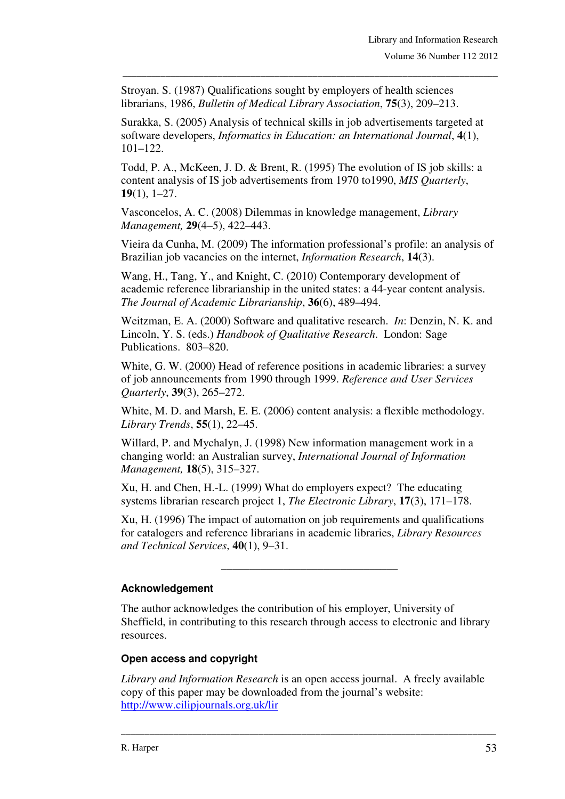Stroyan. S. (1987) Qualifications sought by employers of health sciences librarians, 1986, *Bulletin of Medical Library Association*, **75**(3), 209–213.

Surakka, S. (2005) Analysis of technical skills in job advertisements targeted at software developers, *Informatics in Education: an International Journal*, **4**(1), 101–122.

\_\_\_\_\_\_\_\_\_\_\_\_\_\_\_\_\_\_\_\_\_\_\_\_\_\_\_\_\_\_\_\_\_\_\_\_\_\_\_\_\_\_\_\_\_\_\_\_\_\_\_\_\_\_\_\_\_\_\_\_\_\_\_\_\_\_\_\_\_\_\_\_\_\_\_\_\_\_\_

Todd, P. A., McKeen, J. D. & Brent, R. (1995) The evolution of IS job skills: a content analysis of IS job advertisements from 1970 to1990, *MIS Quarterly*, **19**(1), 1–27.

Vasconcelos, A. C. (2008) Dilemmas in knowledge management, *Library Management,* **29**(4–5), 422–443.

Vieira da Cunha, M. (2009) The information professional's profile: an analysis of Brazilian job vacancies on the internet, *Information Research*, **14**(3).

Wang, H., Tang, Y., and Knight, C. (2010) Contemporary development of academic reference librarianship in the united states: a 44-year content analysis. *The Journal of Academic Librarianship*, **36**(6), 489–494.

Weitzman, E. A. (2000) Software and qualitative research. *In*: Denzin, N. K. and Lincoln, Y. S. (eds.) *Handbook of Qualitative Research*. London: Sage Publications. 803–820.

White, G. W. (2000) Head of reference positions in academic libraries: a survey of job announcements from 1990 through 1999. *Reference and User Services Quarterly*, **39**(3), 265–272.

White, M. D. and Marsh, E. E. (2006) content analysis: a flexible methodology. *Library Trends*, **55**(1), 22–45.

Willard, P. and Mychalyn, J. (1998) New information management work in a changing world: an Australian survey, *International Journal of Information Management,* **18**(5), 315–327.

Xu, H. and Chen, H.-L. (1999) What do employers expect? The educating systems librarian research project 1, *The Electronic Library*, **17**(3), 171–178.

Xu, H. (1996) The impact of automation on job requirements and qualifications for catalogers and reference librarians in academic libraries, *Library Resources and Technical Services*, **40**(1), 9–31.

\_\_\_\_\_\_\_\_\_\_\_\_\_\_\_\_\_\_\_\_\_\_\_\_\_\_\_\_\_\_\_

#### **Acknowledgement**

The author acknowledges the contribution of his employer, University of Sheffield, in contributing to this research through access to electronic and library resources.

#### **Open access and copyright**

*Library and Information Research* is an open access journal. A freely available copy of this paper may be downloaded from the journal's website: http://www.cilipjournals.org.uk/lir